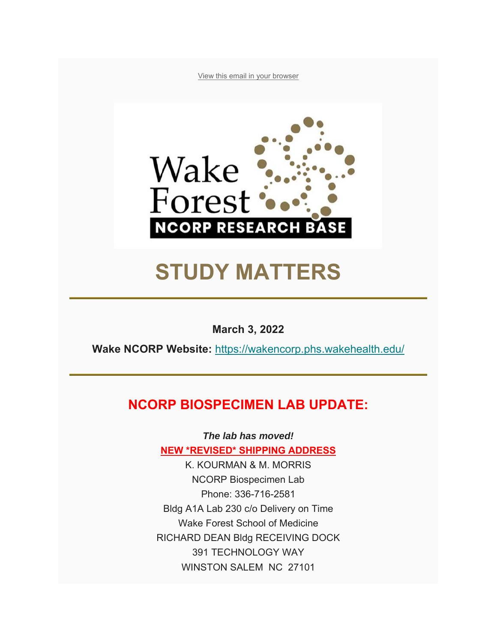View this email in your browser



# **STUDY MATTERS**

**March 3, 2022** 

**Wake NCORP Website:** https://wakencorp.phs.wakehealth.edu/

### **NCORP BIOSPECIMEN LAB UPDATE:**

*The lab has moved!* **NEW \*REVISED\* SHIPPING ADDRESS**

K. KOURMAN & M. MORRIS NCORP Biospecimen Lab Phone: 336-716-2581 Bldg A1A Lab 230 c/o Delivery on Time Wake Forest School of Medicine RICHARD DEAN Bldg RECEIVING DOCK 391 TECHNOLOGY WAY WINSTON SALEM NC 27101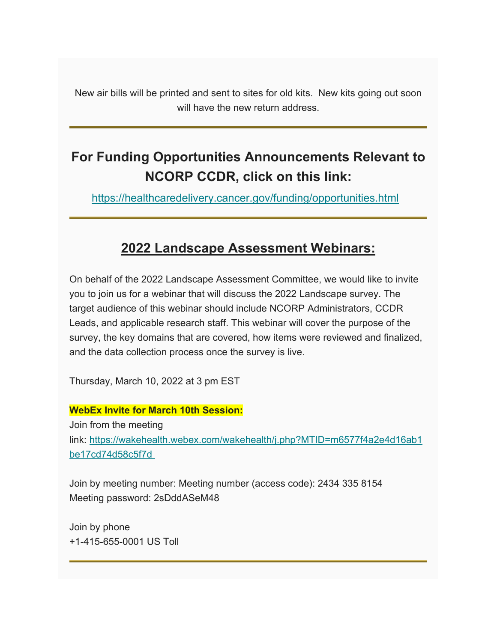New air bills will be printed and sent to sites for old kits. New kits going out soon will have the new return address.

# **For Funding Opportunities Announcements Relevant to NCORP CCDR, click on this link:**

https://healthcaredelivery.cancer.gov/funding/opportunities.html

### **2022 Landscape Assessment Webinars:**

On behalf of the 2022 Landscape Assessment Committee, we would like to invite you to join us for a webinar that will discuss the 2022 Landscape survey. The target audience of this webinar should include NCORP Administrators, CCDR Leads, and applicable research staff. This webinar will cover the purpose of the survey, the key domains that are covered, how items were reviewed and finalized, and the data collection process once the survey is live.

Thursday, March 10, 2022 at 3 pm EST

### **WebEx Invite for March 10th Session:**

Join from the meeting link: https://wakehealth.webex.com/wakehealth/j.php?MTID=m6577f4a2e4d16ab1 be17cd74d58c5f7d

Join by meeting number: Meeting number (access code): 2434 335 8154 Meeting password: 2sDddASeM48

Join by phone +1-415-655-0001 US Toll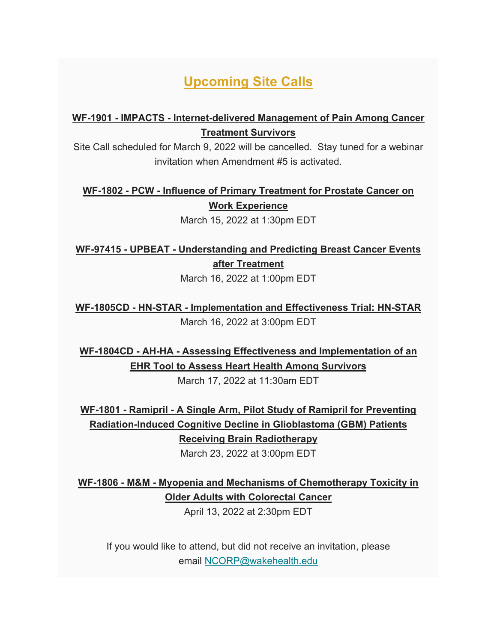## **Upcoming Site Calls**

### **WF-1901 - IMPACTS - Internet-delivered Management of Pain Among Cancer Treatment Survivors**

Site Call scheduled for March 9, 2022 will be cancelled. Stay tuned for a webinar invitation when Amendment #5 is activated.

**WF-1802 - PCW - Influence of Primary Treatment for Prostate Cancer on Work Experience**

March 15, 2022 at 1:30pm EDT

### **WF-97415 - UPBEAT - Understanding and Predicting Breast Cancer Events after Treatment**

March 16, 2022 at 1:00pm EDT

**WF-1805CD - HN-STAR - Implementation and Effectiveness Trial: HN-STAR** March 16, 2022 at 3:00pm EDT

**WF-1804CD - AH-HA - Assessing Effectiveness and Implementation of an EHR Tool to Assess Heart Health Among Survivors**

March 17, 2022 at 11:30am EDT

**WF-1801 - Ramipril - A Single Arm, Pilot Study of Ramipril for Preventing Radiation-Induced Cognitive Decline in Glioblastoma (GBM) Patients Receiving Brain Radiotherapy**

March 23, 2022 at 3:00pm EDT

**WF-1806 - M&M - Myopenia and Mechanisms of Chemotherapy Toxicity in Older Adults with Colorectal Cancer**

April 13, 2022 at 2:30pm EDT

If you would like to attend, but did not receive an invitation, please email NCORP@wakehealth.edu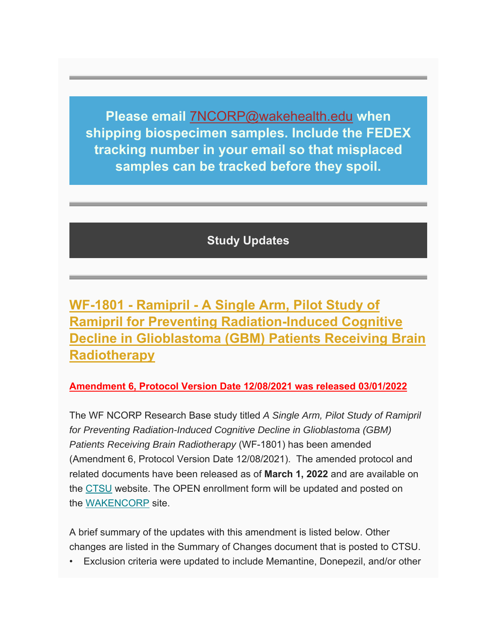**Please email** 7NCORP@wakehealth.edu **when shipping biospecimen samples. Include the FEDEX tracking number in your email so that misplaced samples can be tracked before they spoil.**

**Study Updates**

**WF-1801 - Ramipril - A Single Arm, Pilot Study of Ramipril for Preventing Radiation-Induced Cognitive Decline in Glioblastoma (GBM) Patients Receiving Brain Radiotherapy**

### **Amendment 6, Protocol Version Date 12/08/2021 was released 03/01/2022**

The WF NCORP Research Base study titled *A Single Arm, Pilot Study of Ramipril for Preventing Radiation-Induced Cognitive Decline in Glioblastoma (GBM) Patients Receiving Brain Radiotherapy* (WF-1801) has been amended (Amendment 6, Protocol Version Date 12/08/2021). The amended protocol and related documents have been released as of **March 1, 2022** and are available on the CTSU website. The OPEN enrollment form will be updated and posted on the WAKENCORP site.

A brief summary of the updates with this amendment is listed below. Other changes are listed in the Summary of Changes document that is posted to CTSU.

• Exclusion criteria were updated to include Memantine, Donepezil, and/or other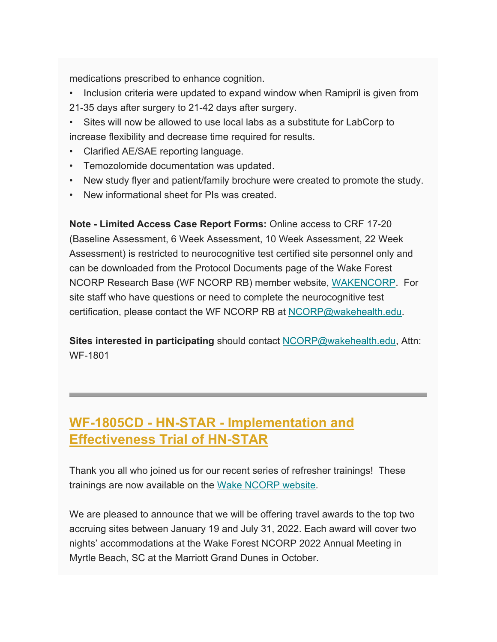medications prescribed to enhance cognition.

- Inclusion criteria were updated to expand window when Ramipril is given from
- 21-35 days after surgery to 21-42 days after surgery.
- Sites will now be allowed to use local labs as a substitute for LabCorp to increase flexibility and decrease time required for results.
- Clarified AE/SAE reporting language.
- Temozolomide documentation was updated.
- New study flyer and patient/family brochure were created to promote the study.
- New informational sheet for PIs was created.

**Note - Limited Access Case Report Forms:** Online access to CRF 17-20 (Baseline Assessment, 6 Week Assessment, 10 Week Assessment, 22 Week Assessment) is restricted to neurocognitive test certified site personnel only and can be downloaded from the Protocol Documents page of the Wake Forest NCORP Research Base (WF NCORP RB) member website, WAKENCORP. For site staff who have questions or need to complete the neurocognitive test certification, please contact the WF NCORP RB at NCORP@wakehealth.edu.

**Sites interested in participating** should contact NCORP@wakehealth.edu, Attn: WF-1801

# **WF-1805CD - HN-STAR - Implementation and Effectiveness Trial of HN-STAR**

Thank you all who joined us for our recent series of refresher trainings! These trainings are now available on the Wake NCORP website.

We are pleased to announce that we will be offering travel awards to the top two accruing sites between January 19 and July 31, 2022. Each award will cover two nights' accommodations at the Wake Forest NCORP 2022 Annual Meeting in Myrtle Beach, SC at the Marriott Grand Dunes in October.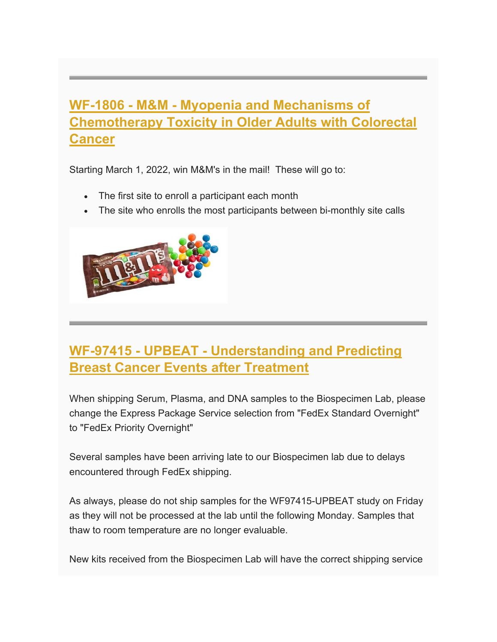## **WF-1806 - M&M - Myopenia and Mechanisms of Chemotherapy Toxicity in Older Adults with Colorectal Cancer**

Starting March 1, 2022, win M&M's in the mail! These will go to:

- The first site to enroll a participant each month
- The site who enrolls the most participants between bi-monthly site calls



### **WF-97415 - UPBEAT - Understanding and Predicting Breast Cancer Events after Treatment**

When shipping Serum, Plasma, and DNA samples to the Biospecimen Lab, please change the Express Package Service selection from "FedEx Standard Overnight" to "FedEx Priority Overnight"

Several samples have been arriving late to our Biospecimen lab due to delays encountered through FedEx shipping.

As always, please do not ship samples for the WF97415-UPBEAT study on Friday as they will not be processed at the lab until the following Monday. Samples that thaw to room temperature are no longer evaluable.

New kits received from the Biospecimen Lab will have the correct shipping service